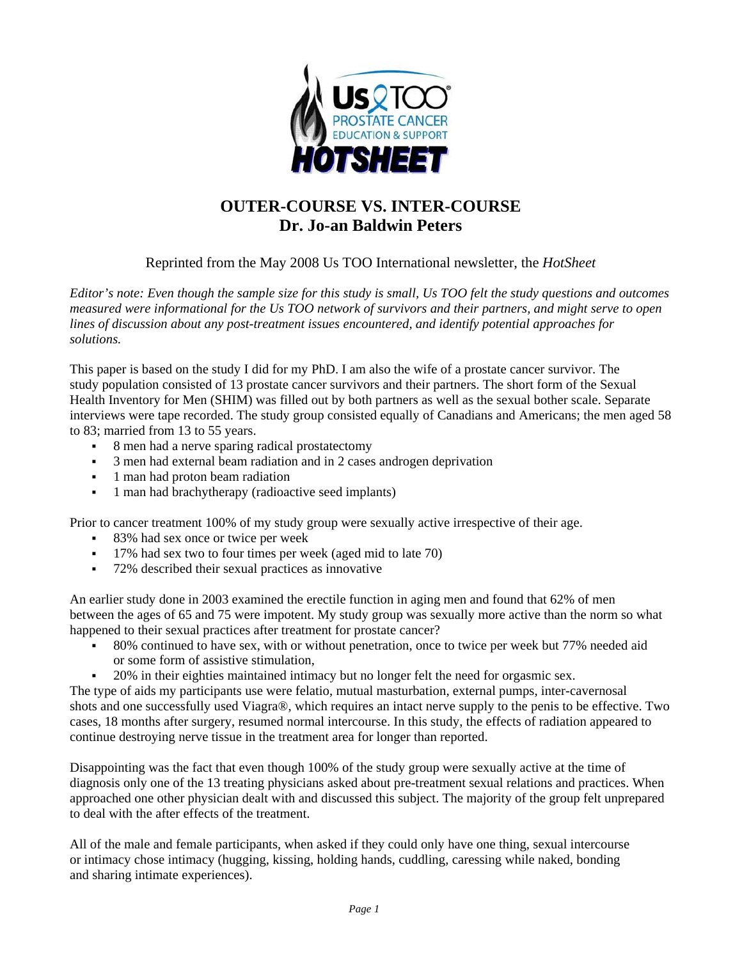

## **OUTER-COURSE VS. INTER-COURSE Dr. Jo-an Baldwin Peters**

Reprinted from the May 2008 Us TOO International newsletter, the *HotSheet*

*Editor's note: Even though the sample size for this study is small, Us TOO felt the study questions and outcomes measured were informational for the Us TOO network of survivors and their partners, and might serve to open lines of discussion about any post-treatment issues encountered, and identify potential approaches for solutions.* 

This paper is based on the study I did for my PhD. I am also the wife of a prostate cancer survivor. The study population consisted of 13 prostate cancer survivors and their partners. The short form of the Sexual Health Inventory for Men (SHIM) was filled out by both partners as well as the sexual bother scale. Separate interviews were tape recorded. The study group consisted equally of Canadians and Americans; the men aged 58 to 83; married from 13 to 55 years.

- 8 men had a nerve sparing radical prostatectomy
- 3 men had external beam radiation and in 2 cases androgen deprivation
- 1 man had proton beam radiation
- 1 man had brachytherapy (radioactive seed implants)

Prior to cancer treatment 100% of my study group were sexually active irrespective of their age.

- 83% had sex once or twice per week
- 17% had sex two to four times per week (aged mid to late 70)
- 72% described their sexual practices as innovative

An earlier study done in 2003 examined the erectile function in aging men and found that 62% of men between the ages of 65 and 75 were impotent. My study group was sexually more active than the norm so what happened to their sexual practices after treatment for prostate cancer?

- 80% continued to have sex, with or without penetration, once to twice per week but 77% needed aid or some form of assistive stimulation,
- <sup>20</sup>% in their eighties maintained intimacy but no longer felt the need for orgasmic sex.

The type of aids my participants use were felatio, mutual masturbation, external pumps, inter-cavernosal shots and one successfully used Viagra®, which requires an intact nerve supply to the penis to be effective. Two cases, 18 months after surgery, resumed normal intercourse. In this study, the effects of radiation appeared to continue destroying nerve tissue in the treatment area for longer than reported.

Disappointing was the fact that even though 100% of the study group were sexually active at the time of diagnosis only one of the 13 treating physicians asked about pre-treatment sexual relations and practices. When approached one other physician dealt with and discussed this subject. The majority of the group felt unprepared to deal with the after effects of the treatment.

All of the male and female participants, when asked if they could only have one thing, sexual intercourse or intimacy chose intimacy (hugging, kissing, holding hands, cuddling, caressing while naked, bonding and sharing intimate experiences).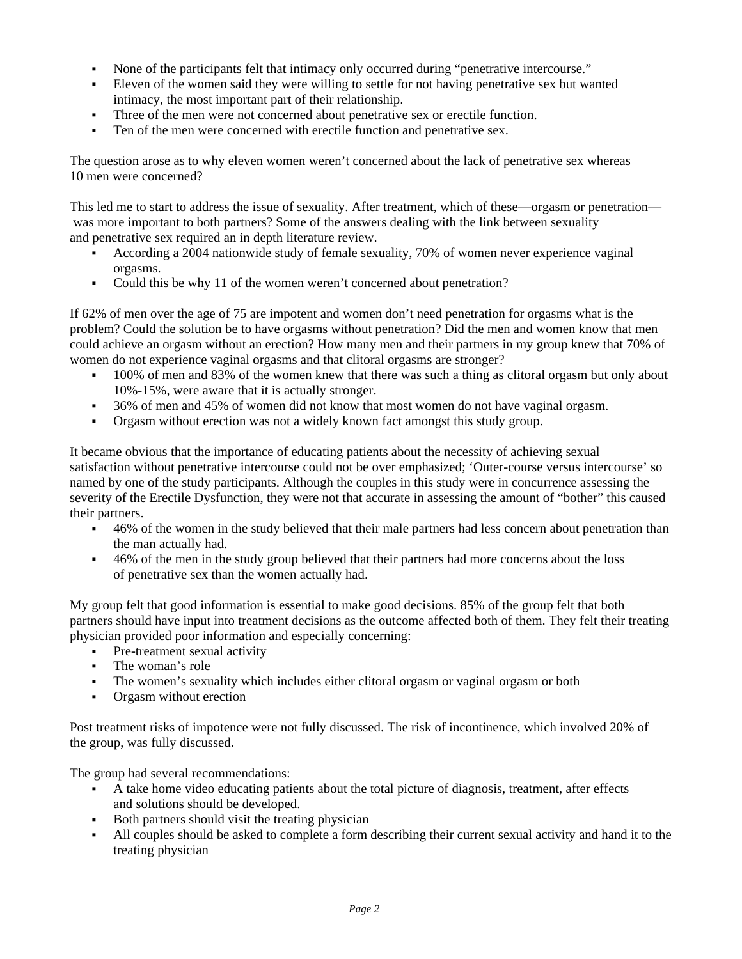- None of the participants felt that intimacy only occurred during "penetrative intercourse."
- Eleven of the women said they were willing to settle for not having penetrative sex but wanted intimacy, the most important part of their relationship.
- Three of the men were not concerned about penetrative sex or erectile function.
- Ten of the men were concerned with erectile function and penetrative sex.

The question arose as to why eleven women weren't concerned about the lack of penetrative sex whereas 10 men were concerned?

This led me to start to address the issue of sexuality. After treatment, which of these—orgasm or penetration was more important to both partners? Some of the answers dealing with the link between sexuality and penetrative sex required an in depth literature review.

- According a 2004 nationwide study of female sexuality, 70% of women never experience vaginal orgasms.
- Could this be why 11 of the women weren't concerned about penetration?

If 62% of men over the age of 75 are impotent and women don't need penetration for orgasms what is the problem? Could the solution be to have orgasms without penetration? Did the men and women know that men could achieve an orgasm without an erection? How many men and their partners in my group knew that 70% of women do not experience vaginal orgasms and that clitoral orgasms are stronger?

- <sup>1</sup> 100% of men and 83% of the women knew that there was such a thing as clitoral orgasm but only about 10%-15%, were aware that it is actually stronger.
- 36% of men and 45% of women did not know that most women do not have vaginal orgasm.
- Orgasm without erection was not a widely known fact amongst this study group.

It became obvious that the importance of educating patients about the necessity of achieving sexual satisfaction without penetrative intercourse could not be over emphasized; 'Outer-course versus intercourse' so named by one of the study participants. Although the couples in this study were in concurrence assessing the severity of the Erectile Dysfunction, they were not that accurate in assessing the amount of "bother" this caused their partners.

- <sup>46%</sup> of the women in the study believed that their male partners had less concern about penetration than the man actually had.
- <sup>46%</sup> of the men in the study group believed that their partners had more concerns about the loss of penetrative sex than the women actually had.

My group felt that good information is essential to make good decisions. 85% of the group felt that both partners should have input into treatment decisions as the outcome affected both of them. They felt their treating physician provided poor information and especially concerning:

- Pre-treatment sexual activity
- The woman's role
- The women's sexuality which includes either clitoral orgasm or vaginal orgasm or both
- Orgasm without erection

Post treatment risks of impotence were not fully discussed. The risk of incontinence, which involved 20% of the group, was fully discussed.

The group had several recommendations:

- A take home video educating patients about the total picture of diagnosis, treatment, after effects and solutions should be developed.
- Both partners should visit the treating physician
- All couples should be asked to complete a form describing their current sexual activity and hand it to the treating physician